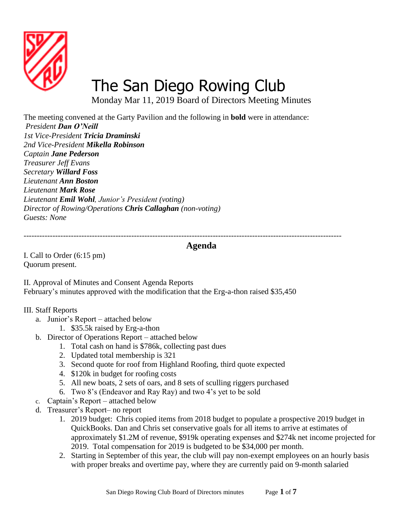

# [The San Diego Rowing Club](http://www.sandiegorowing.org/)

Monday Mar 11, 2019 Board of Directors Meeting Minutes

The meeting convened at the Garty Pavilion and the following in **bold** were in attendance: *President Dan O'Neill 1st Vice-President Tricia Draminski 2nd Vice-President Mikella Robinson Captain Jane Pederson Treasurer Jeff Evans Secretary Willard Foss Lieutenant Ann Boston Lieutenant Mark Rose Lieutenant Emil Wohl, Junior's President (voting) Director of Rowing/Operations Chris Callaghan (non-voting) Guests: None*

*-------------------------------------------------------------------------------------------------------------------------*

## **Agenda**

I. Call to Order (6:15 pm) Quorum present.

II. Approval of Minutes and Consent Agenda Reports February's minutes approved with the modification that the Erg-a-thon raised \$35,450

#### III. Staff Reports

- a. Junior's Report attached below
	- 1. \$35.5k raised by Erg-a-thon
- b. Director of Operations Report attached below
	- 1. Total cash on hand is \$786k, collecting past dues
	- 2. Updated total membership is 321
	- 3. Second quote for roof from Highland Roofing, third quote expected
	- 4. \$120k in budget for roofing costs
	- 5. All new boats, 2 sets of oars, and 8 sets of sculling riggers purchased
	- 6. Two 8's (Endeavor and Ray Ray) and two 4's yet to be sold
- c. Captain's Report attached below
- d. Treasurer's Report– no report
	- 1. 2019 budget: Chris copied items from 2018 budget to populate a prospective 2019 budget in QuickBooks. Dan and Chris set conservative goals for all items to arrive at estimates of approximately \$1.2M of revenue, \$919k operating expenses and \$274k net income projected for 2019. Total compensation for 2019 is budgeted to be \$34,000 per month.
	- 2. Starting in September of this year, the club will pay non-exempt employees on an hourly basis with proper breaks and overtime pay, where they are currently paid on 9-month salaried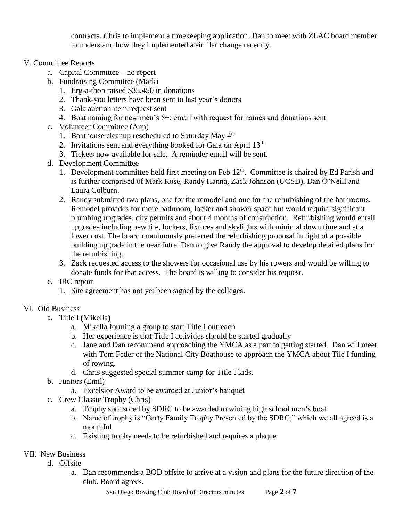contracts. Chris to implement a timekeeping application. Dan to meet with ZLAC board member to understand how they implemented a similar change recently.

- V. Committee Reports
	- a. Capital Committee no report
	- b. Fundraising Committee (Mark)
		- 1. Erg-a-thon raised \$35,450 in donations
		- 2. Thank-you letters have been sent to last year's donors
		- 3. Gala auction item request sent
		- 4. Boat naming for new men's 8+: email with request for names and donations sent
	- c. Volunteer Committee (Ann)
		- 1. Boathouse cleanup rescheduled to Saturday May 4<sup>th</sup>
		- 2. Invitations sent and everything booked for Gala on April  $13<sup>th</sup>$
		- 3. Tickets now available for sale. A reminder email will be sent.
	- d. Development Committee
		- 1. Development committee held first meeting on Feb  $12<sup>th</sup>$ . Committee is chaired by Ed Parish and is further comprised of Mark Rose, Randy Hanna, Zack Johnson (UCSD), Dan O'Neill and Laura Colburn.
		- 2. Randy submitted two plans, one for the remodel and one for the refurbishing of the bathrooms. Remodel provides for more bathroom, locker and shower space but would require significant plumbing upgrades, city permits and about 4 months of construction. Refurbishing would entail upgrades including new tile, lockers, fixtures and skylights with minimal down time and at a lower cost. The board unanimously preferred the refurbishing proposal in light of a possible building upgrade in the near futre. Dan to give Randy the approval to develop detailed plans for the refurbishing.
		- 3. Zack requested access to the showers for occasional use by his rowers and would be willing to donate funds for that access. The board is willing to consider his request.
	- e. IRC report
		- 1. Site agreement has not yet been signed by the colleges.

# VI. Old Business

- a. Title I (Mikella)
	- a. Mikella forming a group to start Title I outreach
	- b. Her experience is that Title I activities should be started gradually
	- c. Jane and Dan recommend approaching the YMCA as a part to getting started. Dan will meet with Tom Feder of the National City Boathouse to approach the YMCA about Tile I funding of rowing.
	- d. Chris suggested special summer camp for Title I kids.
- b. Juniors (Emil)
	- a. Excelsior Award to be awarded at Junior's banquet
- c. Crew Classic Trophy (Chris)
	- a. Trophy sponsored by SDRC to be awarded to wining high school men's boat
	- b. Name of trophy is "Garty Family Trophy Presented by the SDRC," which we all agreed is a mouthful
	- c. Existing trophy needs to be refurbished and requires a plaque

### VII. New Business

- d. Offsite
	- a. Dan recommends a BOD offsite to arrive at a vision and plans for the future direction of the club. Board agrees.